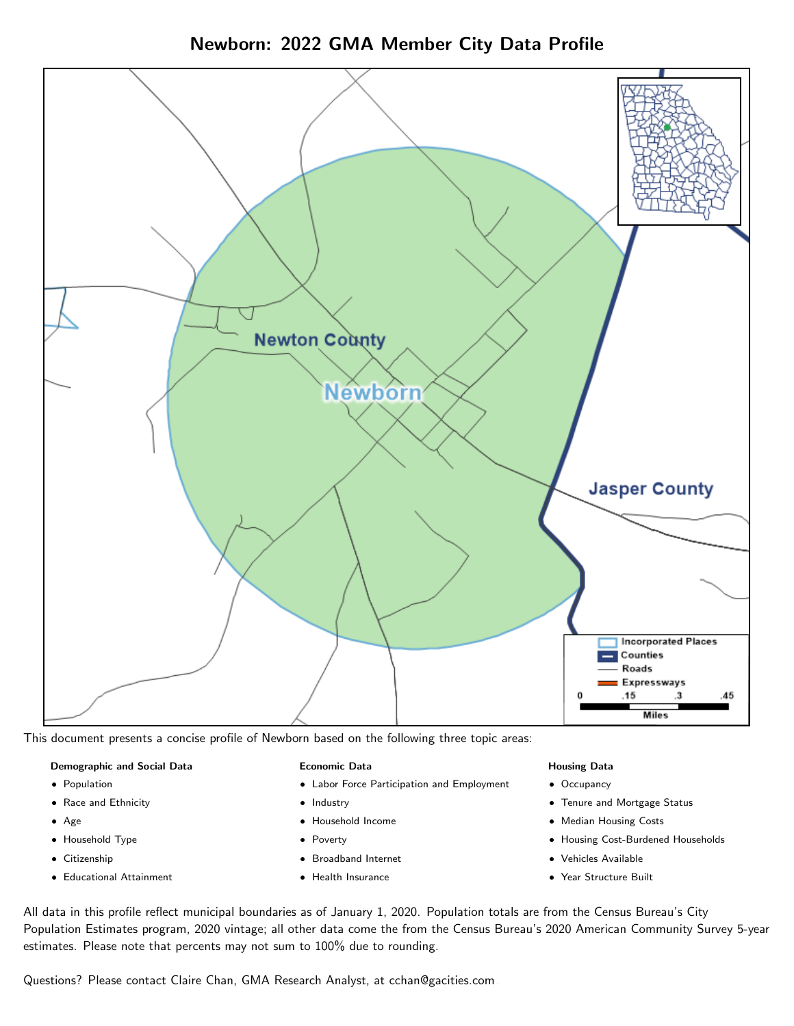Newborn: 2022 GMA Member City Data Profile



This document presents a concise profile of Newborn based on the following three topic areas:

#### Demographic and Social Data

- **•** Population
- Race and Ethnicity
- Age
- Household Type
- **Citizenship**
- Educational Attainment

#### Economic Data

- Labor Force Participation and Employment
- Industry
- Household Income
- Poverty
- Broadband Internet
- Health Insurance

#### Housing Data

- Occupancy
- Tenure and Mortgage Status
- Median Housing Costs
- Housing Cost-Burdened Households
- Vehicles Available
- Year Structure Built

All data in this profile reflect municipal boundaries as of January 1, 2020. Population totals are from the Census Bureau's City Population Estimates program, 2020 vintage; all other data come the from the Census Bureau's 2020 American Community Survey 5-year estimates. Please note that percents may not sum to 100% due to rounding.

Questions? Please contact Claire Chan, GMA Research Analyst, at [cchan@gacities.com.](mailto:cchan@gacities.com)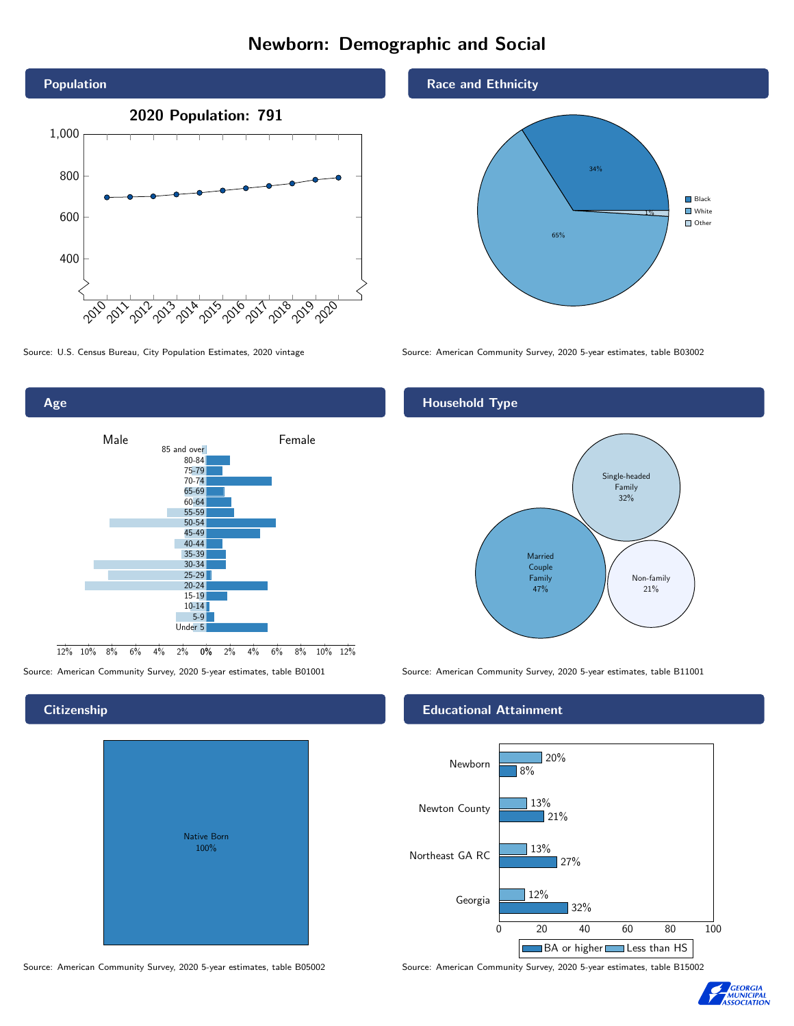# Newborn: Demographic and Social





## **Citizenship**

| <b>Native Born</b><br>100% |  |
|----------------------------|--|
|                            |  |

Race and Ethnicity



Source: U.S. Census Bureau, City Population Estimates, 2020 vintage Source: American Community Survey, 2020 5-year estimates, table B03002

## Household Type



Source: American Community Survey, 2020 5-year estimates, table B01001 Source: American Community Survey, 2020 5-year estimates, table B11001

### Educational Attainment



Source: American Community Survey, 2020 5-year estimates, table B05002 Source: American Community Survey, 2020 5-year estimates, table B15002

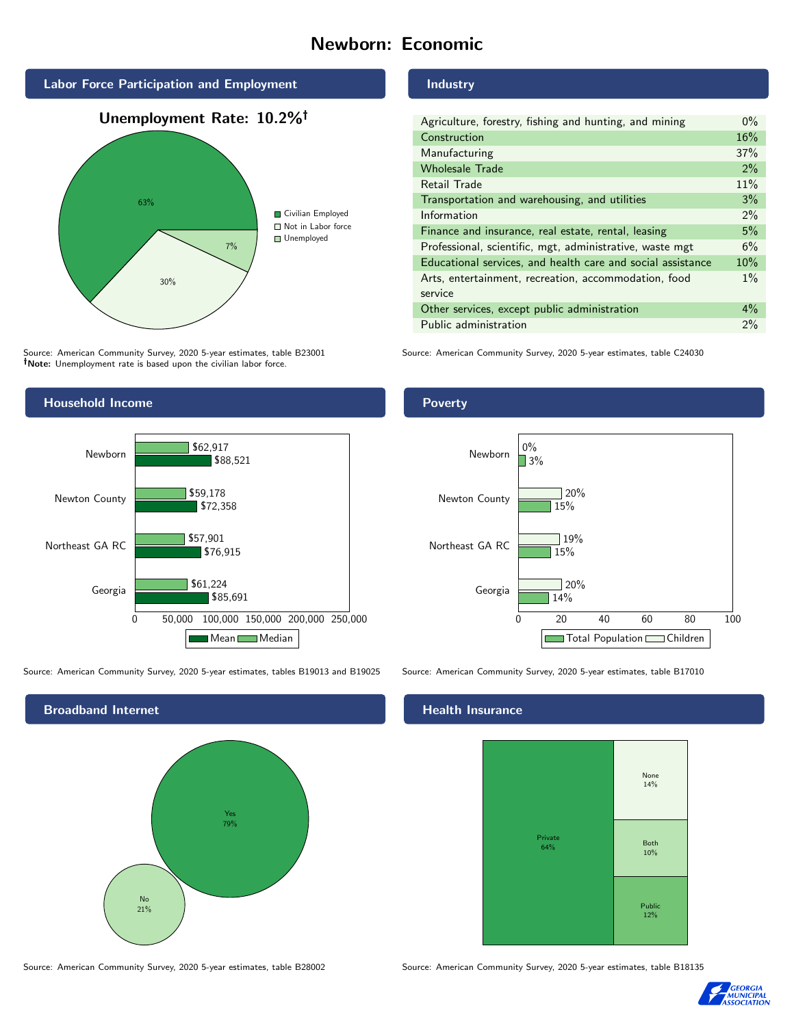# Newborn: Economic







Source: American Community Survey, 2020 5-year estimates, table B23001 Note: Unemployment rate is based upon the civilian labor force.



Source: American Community Survey, 2020 5-year estimates, tables B19013 and B19025 Source: American Community Survey, 2020 5-year estimates, table B17010



Source: American Community Survey, 2020 5-year estimates, table B28002 Source: American Community Survey, 2020 5-year estimates, table B18135

#### Industry

| Agriculture, forestry, fishing and hunting, and mining      |     |  |
|-------------------------------------------------------------|-----|--|
| Construction                                                |     |  |
| Manufacturing                                               | 37% |  |
| <b>Wholesale Trade</b>                                      | 2%  |  |
| Retail Trade                                                |     |  |
| Transportation and warehousing, and utilities               |     |  |
| Information                                                 |     |  |
| Finance and insurance, real estate, rental, leasing         |     |  |
| Professional, scientific, mgt, administrative, waste mgt    |     |  |
| Educational services, and health care and social assistance |     |  |
| Arts, entertainment, recreation, accommodation, food        |     |  |
| service                                                     |     |  |
| Other services, except public administration                |     |  |
| Public administration                                       |     |  |

Source: American Community Survey, 2020 5-year estimates, table C24030

## Poverty



### Health Insurance